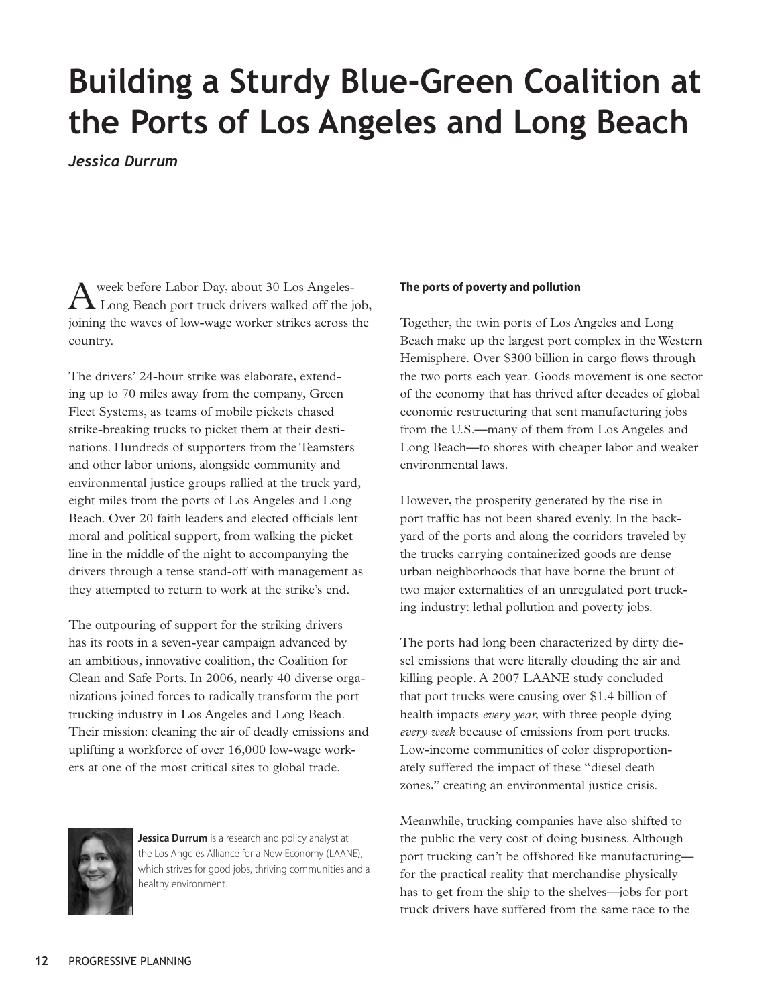## **Building a Sturdy Blue-Green Coalition at the Ports of Los Angeles and Long Beach**

*Jessica Durrum*

week before Labor Day, about 30 Los Angeles- Long Beach port truck drivers walked off the job, joining the waves of low-wage worker strikes across the country.

The drivers' 24-hour strike was elaborate, extending up to 70 miles away from the company, Green Fleet Systems, as teams of mobile pickets chased strike-breaking trucks to picket them at their destinations. Hundreds of supporters from the Teamsters and other labor unions, alongside community and environmental justice groups rallied at the truck yard, eight miles from the ports of Los Angeles and Long Beach. Over 20 faith leaders and elected officials lent moral and political support, from walking the picket line in the middle of the night to accompanying the drivers through a tense stand-off with management as they attempted to return to work at the strike's end.

The outpouring of support for the striking drivers has its roots in a seven-year campaign advanced by an ambitious, innovative coalition, the Coalition for Clean and Safe Ports. In 2006, nearly 40 diverse organizations joined forces to radically transform the port trucking industry in Los Angeles and Long Beach. Their mission: cleaning the air of deadly emissions and uplifting a workforce of over 16,000 low-wage workers at one of the most critical sites to global trade.



**Jessica Durrum** is a research and policy analyst at the Los Angeles Alliance for a New Economy (LAANE), which strives for good jobs, thriving communities and a healthy environment.

## **The ports of poverty and pollution**

Together, the twin ports of Los Angeles and Long Beach make up the largest port complex in the Western Hemisphere. Over \$300 billion in cargo flows through the two ports each year. Goods movement is one sector of the economy that has thrived after decades of global economic restructuring that sent manufacturing jobs from the U.S.—many of them from Los Angeles and Long Beach—to shores with cheaper labor and weaker environmental laws.

However, the prosperity generated by the rise in port traffic has not been shared evenly. In the backyard of the ports and along the corridors traveled by the trucks carrying containerized goods are dense urban neighborhoods that have borne the brunt of two major externalities of an unregulated port trucking industry: lethal pollution and poverty jobs.

The ports had long been characterized by dirty diesel emissions that were literally clouding the air and killing people. A 2007 LAANE study concluded that port trucks were causing over \$1.4 billion of health impacts *every year,* with three people dying *every week* because of emissions from port trucks. Low-income communities of color disproportionately suffered the impact of these "diesel death zones," creating an environmental justice crisis.

Meanwhile, trucking companies have also shifted to the public the very cost of doing business. Although port trucking can't be offshored like manufacturing for the practical reality that merchandise physically has to get from the ship to the shelves—jobs for port truck drivers have suffered from the same race to the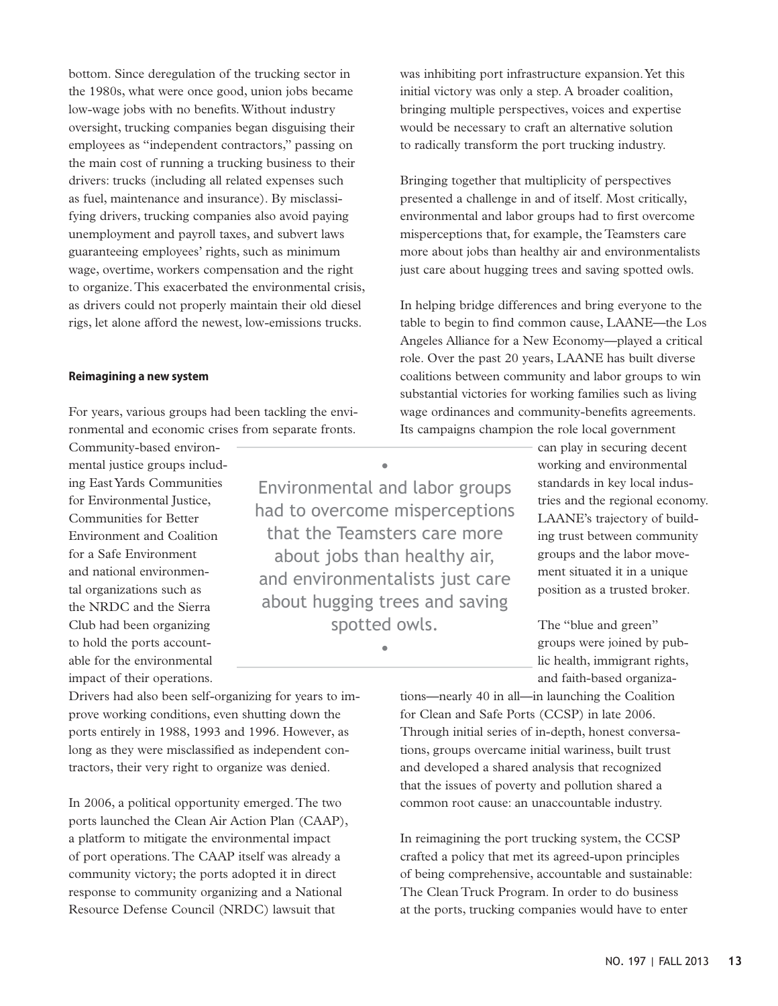bottom. Since deregulation of the trucking sector in the 1980s, what were once good, union jobs became low-wage jobs with no benefits. Without industry oversight, trucking companies began disguising their employees as "independent contractors," passing on the main cost of running a trucking business to their drivers: trucks (including all related expenses such as fuel, maintenance and insurance). By misclassifying drivers, trucking companies also avoid paying unemployment and payroll taxes, and subvert laws guaranteeing employees' rights, such as minimum wage, overtime, workers compensation and the right to organize. This exacerbated the environmental crisis, as drivers could not properly maintain their old diesel rigs, let alone afford the newest, low-emissions trucks.

## **Reimagining a new system**

For years, various groups had been tackling the environmental and economic crises from separate fronts.

Community-based environmental justice groups including East Yards Communities for Environmental Justice, Communities for Better Environment and Coalition for a Safe Environment and national environmental organizations such as the NRDC and the Sierra Club had been organizing to hold the ports accountable for the environmental impact of their operations.

• Environmental and labor groups had to overcome misperceptions that the Teamsters care more about jobs than healthy air, and environmentalists just care about hugging trees and saving spotted owls.

•

was inhibiting port infrastructure expansion. Yet this initial victory was only a step. A broader coalition, bringing multiple perspectives, voices and expertise would be necessary to craft an alternative solution to radically transform the port trucking industry.

Bringing together that multiplicity of perspectives presented a challenge in and of itself. Most critically, environmental and labor groups had to first overcome misperceptions that, for example, the Teamsters care more about jobs than healthy air and environmentalists just care about hugging trees and saving spotted owls.

In helping bridge differences and bring everyone to the table to begin to find common cause, LAANE—the Los Angeles Alliance for a New Economy—played a critical role. Over the past 20 years, LAANE has built diverse coalitions between community and labor groups to win substantial victories for working families such as living wage ordinances and community-benefits agreements. Its campaigns champion the role local government

> can play in securing decent working and environmental standards in key local industries and the regional economy. LAANE's trajectory of building trust between community groups and the labor movement situated it in a unique position as a trusted broker.

The "blue and green" groups were joined by public health, immigrant rights, and faith-based organiza-

tions—nearly 40 in all—in launching the Coalition for Clean and Safe Ports (CCSP) in late 2006. Through initial series of in-depth, honest conversations, groups overcame initial wariness, built trust and developed a shared analysis that recognized that the issues of poverty and pollution shared a common root cause: an unaccountable industry.

In reimagining the port trucking system, the CCSP crafted a policy that met its agreed-upon principles of being comprehensive, accountable and sustainable: The Clean Truck Program. In order to do business at the ports, trucking companies would have to enter

Drivers had also been self-organizing for years to improve working conditions, even shutting down the ports entirely in 1988, 1993 and 1996. However, as long as they were misclassified as independent contractors, their very right to organize was denied.

In 2006, a political opportunity emerged. The two ports launched the Clean Air Action Plan (CAAP), a platform to mitigate the environmental impact of port operations. The CAAP itself was already a community victory; the ports adopted it in direct response to community organizing and a National Resource Defense Council (NRDC) lawsuit that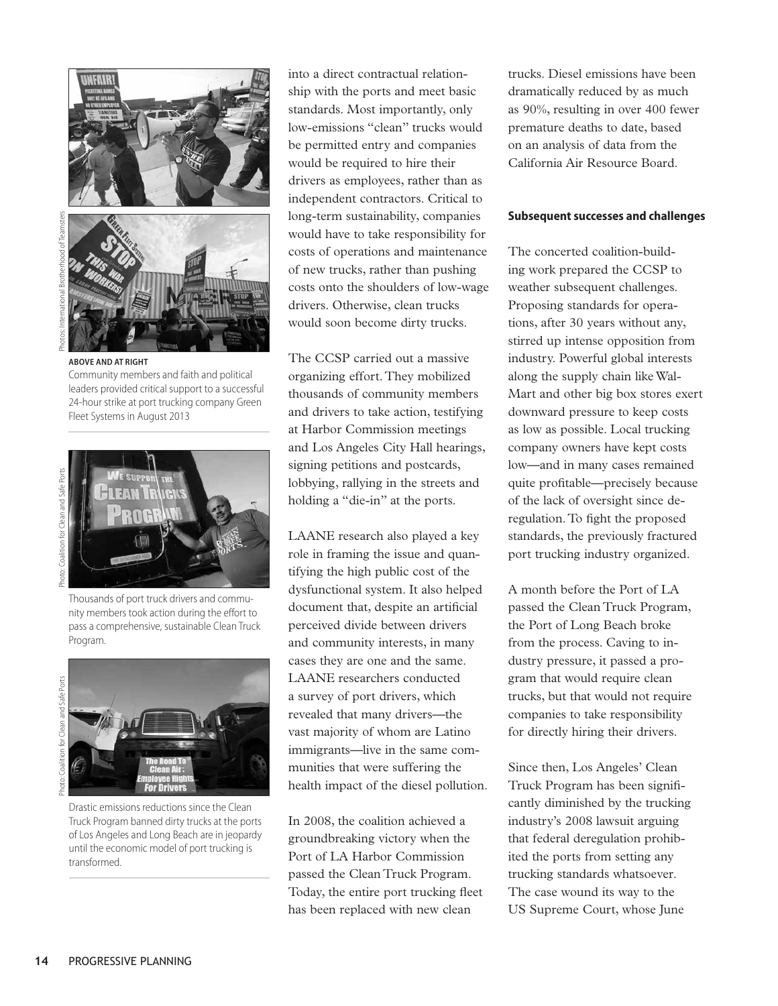

**above and at right** Community members and faith and political leaders provided critical support to a successful 24-hour strike at port trucking company Green Fleet Systems in August 2013



Thousands of port truck drivers and community members took action during the effort to pass a comprehensive, sustainable Clean Truck Program.



Drastic emissions reductions since the Clean Truck Program banned dirty trucks at the ports of Los Angeles and Long Beach are in jeopardy until the economic model of port trucking is transformed.

into a direct contractual relationship with the ports and meet basic standards. Most importantly, only low-emissions "clean" trucks would be permitted entry and companies would be required to hire their drivers as employees, rather than as independent contractors. Critical to long-term sustainability, companies would have to take responsibility for costs of operations and maintenance of new trucks, rather than pushing costs onto the shoulders of low-wage drivers. Otherwise, clean trucks would soon become dirty trucks.

The CCSP carried out a massive organizing effort. They mobilized thousands of community members and drivers to take action, testifying at Harbor Commission meetings and Los Angeles City Hall hearings, signing petitions and postcards, lobbying, rallying in the streets and holding a "die-in" at the ports.

LAANE research also played a key role in framing the issue and quantifying the high public cost of the dysfunctional system. It also helped document that, despite an artificial perceived divide between drivers and community interests, in many cases they are one and the same. LAANE researchers conducted a survey of port drivers, which revealed that many drivers—the vast majority of whom are Latino immigrants—live in the same communities that were suffering the health impact of the diesel pollution.

In 2008, the coalition achieved a groundbreaking victory when the Port of LA Harbor Commission passed the Clean Truck Program. Today, the entire port trucking fleet has been replaced with new clean

trucks. Diesel emissions have been dramatically reduced by as much as 90%, resulting in over 400 fewer premature deaths to date, based on an analysis of data from the California Air Resource Board.

## **Subsequent successes and challenges**

The concerted coalition-building work prepared the CCSP to weather subsequent challenges. Proposing standards for operations, after 30 years without any, stirred up intense opposition from industry. Powerful global interests along the supply chain like Wal-Mart and other big box stores exert downward pressure to keep costs as low as possible. Local trucking company owners have kept costs low—and in many cases remained quite profitable—precisely because of the lack of oversight since deregulation. To fight the proposed standards, the previously fractured port trucking industry organized.

A month before the Port of LA passed the Clean Truck Program, the Port of Long Beach broke from the process. Caving to industry pressure, it passed a program that would require clean trucks, but that would not require companies to take responsibility for directly hiring their drivers.

Since then, Los Angeles' Clean Truck Program has been significantly diminished by the trucking industry's 2008 lawsuit arguing that federal deregulation prohibited the ports from setting any trucking standards whatsoever. The case wound its way to the US Supreme Court, whose June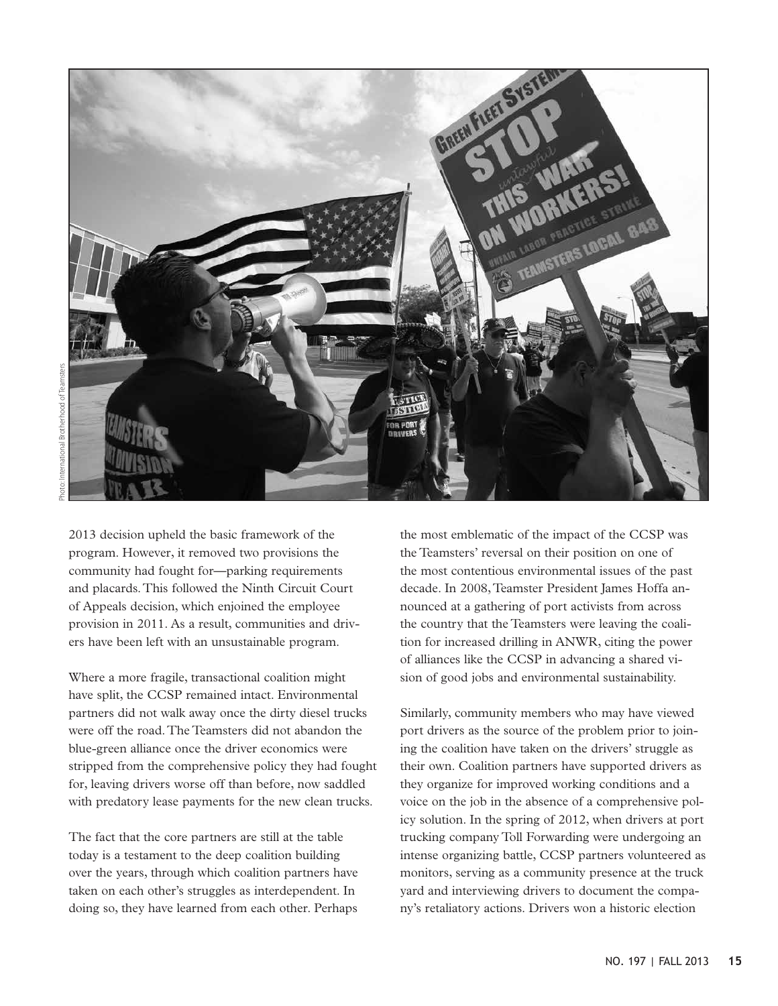

2013 decision upheld the basic framework of the program. However, it removed two provisions the community had fought for—parking requirements and placards. This followed the Ninth Circuit Court of Appeals decision, which enjoined the employee provision in 2011. As a result, communities and drivers have been left with an unsustainable program.

Where a more fragile, transactional coalition might have split, the CCSP remained intact. Environmental partners did not walk away once the dirty diesel trucks were off the road. The Teamsters did not abandon the blue-green alliance once the driver economics were stripped from the comprehensive policy they had fought for, leaving drivers worse off than before, now saddled with predatory lease payments for the new clean trucks.

The fact that the core partners are still at the table today is a testament to the deep coalition building over the years, through which coalition partners have taken on each other's struggles as interdependent. In doing so, they have learned from each other. Perhaps

the most emblematic of the impact of the CCSP was the Teamsters' reversal on their position on one of the most contentious environmental issues of the past decade. In 2008, Teamster President James Hoffa announced at a gathering of port activists from across the country that the Teamsters were leaving the coalition for increased drilling in ANWR, citing the power of alliances like the CCSP in advancing a shared vision of good jobs and environmental sustainability.

Similarly, community members who may have viewed port drivers as the source of the problem prior to joining the coalition have taken on the drivers' struggle as their own. Coalition partners have supported drivers as they organize for improved working conditions and a voice on the job in the absence of a comprehensive policy solution. In the spring of 2012, when drivers at port trucking company Toll Forwarding were undergoing an intense organizing battle, CCSP partners volunteered as monitors, serving as a community presence at the truck yard and interviewing drivers to document the company's retaliatory actions. Drivers won a historic election